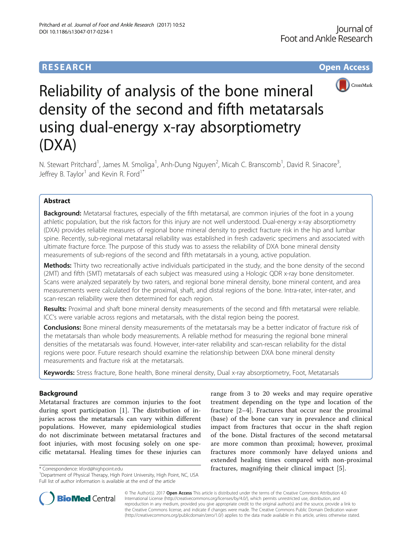# **RESEARCH CHE Open Access**



# Reliability of analysis of the bone mineral density of the second and fifth metatarsals using dual-energy x-ray absorptiometry (DXA)

N. Stewart Pritchard<sup>1</sup>, James M. Smoliga<sup>1</sup>, Anh-Dung Nguyen<sup>2</sup>, Micah C. Branscomb<sup>1</sup>, David R. Sinacore<sup>3</sup> , Jeffrey B. Taylor<sup>1</sup> and Kevin R. Ford<sup>1\*</sup>

# Abstract

**Background:** Metatarsal fractures, especially of the fifth metatarsal, are common injuries of the foot in a young athletic population, but the risk factors for this injury are not well understood. Dual-energy x-ray absorptiometry (DXA) provides reliable measures of regional bone mineral density to predict fracture risk in the hip and lumbar spine. Recently, sub-regional metatarsal reliability was established in fresh cadaveric specimens and associated with ultimate fracture force. The purpose of this study was to assess the reliability of DXA bone mineral density measurements of sub-regions of the second and fifth metatarsals in a young, active population.

Methods: Thirty two recreationally active individuals participated in the study, and the bone density of the second (2MT) and fifth (5MT) metatarsals of each subject was measured using a Hologic QDR x-ray bone densitometer. Scans were analyzed separately by two raters, and regional bone mineral density, bone mineral content, and area measurements were calculated for the proximal, shaft, and distal regions of the bone. Intra-rater, inter-rater, and scan-rescan reliability were then determined for each region.

Results: Proximal and shaft bone mineral density measurements of the second and fifth metatarsal were reliable. ICC's were variable across regions and metatarsals, with the distal region being the poorest.

**Conclusions:** Bone mineral density measurements of the metatarsals may be a better indicator of fracture risk of the metatarsals than whole body measurements. A reliable method for measuring the regional bone mineral densities of the metatarsals was found. However, inter-rater reliability and scan-rescan reliability for the distal regions were poor. Future research should examine the relationship between DXA bone mineral density measurements and fracture risk at the metatarsals.

Keywords: Stress fracture, Bone health, Bone mineral density, Dual x-ray absorptiometry, Foot, Metatarsals

### **Background**

Metatarsal fractures are common injuries to the foot during sport participation [[1](#page-5-0)]. The distribution of injuries across the metatarsals can vary within different populations. However, many epidemiological studies do not discriminate between metatarsal fractures and foot injuries, with most focusing solely on one specific metatarsal. Healing times for these injuries can

range from 3 to 20 weeks and may require operative treatment depending on the type and location of the fracture [[2](#page-5-0)–[4\]](#page-5-0). Fractures that occur near the proximal (base) of the bone can vary in prevalence and clinical impact from fractures that occur in the shaft region of the bone. Distal fractures of the second metatarsal are more common than proximal; however, proximal fractures more commonly have delayed unions and extended healing times compared with non-proximal \* Correspondence: [kford@highpoint.edu](mailto:kford@highpoint.edu) **fractures, magnifying their clinical impact** [\[5](#page-5-0)].



© The Author(s). 2017 **Open Access** This article is distributed under the terms of the Creative Commons Attribution 4.0 International License [\(http://creativecommons.org/licenses/by/4.0/](http://creativecommons.org/licenses/by/4.0/)), which permits unrestricted use, distribution, and reproduction in any medium, provided you give appropriate credit to the original author(s) and the source, provide a link to the Creative Commons license, and indicate if changes were made. The Creative Commons Public Domain Dedication waiver [\(http://creativecommons.org/publicdomain/zero/1.0/](http://creativecommons.org/publicdomain/zero/1.0/)) applies to the data made available in this article, unless otherwise stated.

<sup>&</sup>lt;sup>1</sup>Department of Physical Therapy, High Point University, High Point, NC, USA Full list of author information is available at the end of the article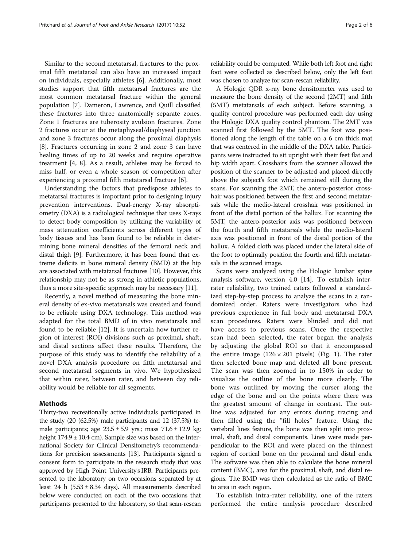Similar to the second metatarsal, fractures to the proximal fifth metatarsal can also have an increased impact on individuals, especially athletes [[6\]](#page-5-0). Additionally, most studies support that fifth metatarsal fractures are the most common metatarsal fracture within the general population [[7\]](#page-5-0). Dameron, Lawrence, and Quill classified these fractures into three anatomically separate zones. Zone 1 fractures are tuberosity avulsion fractures. Zone 2 fractures occur at the metaphyseal/diaphyseal junction and zone 3 fractures occur along the proximal diaphysis [[8\]](#page-5-0). Fractures occurring in zone 2 and zone 3 can have healing times of up to 20 weeks and require operative treatment [[4, 8](#page-5-0)]. As a result, athletes may be forced to miss half, or even a whole season of competition after experiencing a proximal fifth metatarsal fracture [\[6](#page-5-0)].

Understanding the factors that predispose athletes to metatarsal fractures is important prior to designing injury prevention interventions. Dual-energy X-ray absorptiometry (DXA) is a radiological technique that uses X-rays to detect body composition by utilizing the variability of mass attenuation coefficients across different types of body tissues and has been found to be reliable in determining bone mineral densities of the femoral neck and distal thigh [[9](#page-5-0)]. Furthermore, it has been found that extreme deficits in bone mineral density (BMD) at the hip are associated with metatarsal fractures [[10](#page-5-0)]. However, this relationship may not be as strong in athletic populations, thus a more site-specific approach may be necessary [\[11\]](#page-5-0).

Recently, a novel method of measuring the bone mineral density of ex-vivo metatarsals was created and found to be reliable using DXA technology. This method was adapted for the total BMD of in vivo metatarsals and found to be reliable [\[12](#page-5-0)]. It is uncertain how further region of interest (ROI) divisions such as proximal, shaft, and distal sections affect these results. Therefore, the purpose of this study was to identify the reliability of a novel DXA analysis procedure on fifth metatarsal and second metatarsal segments in vivo. We hypothesized that within rater, between rater, and between day reliability would be reliable for all segments.

#### Methods

Thirty-two recreationally active individuals participated in the study (20 (62.5%) male participants and 12 (37.5%) female participants; age  $23.5 \pm 5.9$  yrs.; mass  $71.6 \pm 12.9$  kg; height  $174.9 \pm 10.4$  cm). Sample size was based on the International Society for Clinical Densitometry's recommendations for precision assessments [[13\]](#page-5-0). Participants signed a consent form to participate in the research study that was approved by High Point University's IRB. Participants presented to the laboratory on two occasions separated by at least 24 h  $(5.53 \pm 8.34$  days). All measurements described below were conducted on each of the two occasions that participants presented to the laboratory, so that scan-rescan

reliability could be computed. While both left foot and right foot were collected as described below, only the left foot was chosen to analyze for scan-rescan reliability.

A Hologic QDR x-ray bone densitometer was used to measure the bone density of the second (2MT) and fifth (5MT) metatarsals of each subject. Before scanning, a quality control procedure was performed each day using the Hologic DXA quality control phantom. The 2MT was scanned first followed by the 5MT. The foot was positioned along the length of the table on a 6 cm thick mat that was centered in the middle of the DXA table. Participants were instructed to sit upright with their feet flat and hip width apart. Crosshairs from the scanner allowed the position of the scanner to be adjusted and placed directly above the subject's foot which remained still during the scans. For scanning the 2MT, the antero-posterior crosshair was positioned between the first and second metatarsals while the medio-lateral crosshair was positioned in front of the distal portion of the hallux. For scanning the 5MT, the antero-posterior axis was positioned between the fourth and fifth metatarsals while the medio-lateral axis was positioned in front of the distal portion of the hallux. A folded cloth was placed under the lateral side of the foot to optimally position the fourth and fifth metatarsals in the scanned image.

Scans were analyzed using the Hologic lumbar spine analysis software, version 4.0 [\[14](#page-5-0)]. To establish interrater reliability, two trained raters followed a standardized step-by-step process to analyze the scans in a randomized order. Raters were investigators who had previous experience in full body and metatarsal DXA scan procedures. Raters were blinded and did not have access to previous scans. Once the respective scan had been selected, the rater began the analysis by adjusting the global ROI so that it encompassed the entire image  $(126 \times 201)$  pixels) (Fig. [1\)](#page-2-0). The rater then selected bone map and deleted all bone present. The scan was then zoomed in to 150% in order to visualize the outline of the bone more clearly. The bone was outlined by moving the curser along the edge of the bone and on the points where there was the greatest amount of change in contrast. The outline was adjusted for any errors during tracing and then filled using the "fill holes" feature. Using the vertebral lines feature, the bone was then split into proximal, shaft, and distal components. Lines were made perpendicular to the ROI and were placed on the thinnest region of cortical bone on the proximal and distal ends. The software was then able to calculate the bone mineral content (BMC), area for the proximal, shaft, and distal regions. The BMD was then calculated as the ratio of BMC to area in each region.

To establish intra-rater reliability, one of the raters performed the entire analysis procedure described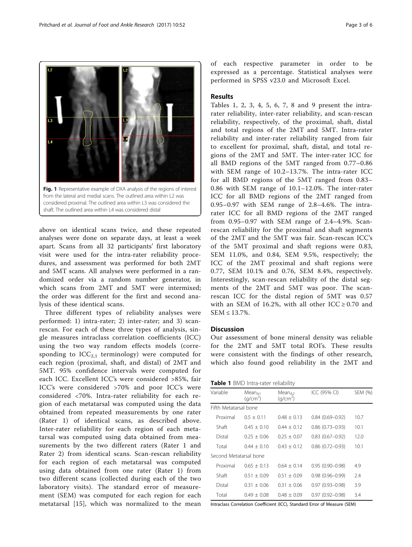<span id="page-2-0"></span>

above on identical scans twice, and these repeated analyses were done on separate days, at least a week apart. Scans from all 32 participants' first laboratory visit were used for the intra-rater reliability procedures, and assessment was performed for both 2MT and 5MT scans. All analyses were performed in a randomized order via a random number generator, in which scans from 2MT and 5MT were intermixed; the order was different for the first and second ana-

lysis of these identical scans.

Three different types of reliability analyses were performed: 1) intra-rater; 2) inter-rater; and 3) scanrescan. For each of these three types of analysis, single measures intraclass correlation coefficients (ICC) using the two way random effects models (corresponding to  $ICC_{2,1}$  terminology) were computed for each region (proximal, shaft, and distal) of 2MT and 5MT. 95% confidence intervals were computed for each ICC. Excellent ICC's were considered >85%, fair ICC's were considered >70% and poor ICC's were considered <70%. Intra-rater reliability for each region of each metatarsal was computed using the data obtained from repeated measurements by one rater (Rater 1) of identical scans, as described above. Inter-rater reliability for each region of each metatarsal was computed using data obtained from measurements by the two different raters (Rater 1 and Rater 2) from identical scans. Scan-rescan reliability for each region of each metatarsal was computed using data obtained from one rater (Rater 1) from two different scans (collected during each of the two laboratory visits). The standard error of measurement (SEM) was computed for each region for each metatarsal [\[15\]](#page-5-0), which was normalized to the mean of each respective parameter in order to be expressed as a percentage. Statistical analyses were performed in SPSS v23.0 and Microsoft Excel.

#### Results

Tables 1, [2, 3, 4, 5,](#page-3-0) [6, 7, 8](#page-4-0) and [9](#page-4-0) present the intrarater reliability, inter-rater reliability, and scan-rescan reliability, respectively, of the proximal, shaft, distal and total regions of the 2MT and 5MT. Intra-rater reliability and inter-rater reliability ranged from fair to excellent for proximal, shaft, distal, and total regions of the 2MT and 5MT. The inter-rater ICC for all BMD regions of the 5MT ranged from 0.77–0.86 with SEM range of 10.2–13.7%. The intra-rater ICC for all BMD regions of the 5MT ranged from 0.83– 0.86 with SEM range of 10.1–12.0%. The inter-rater ICC for all BMD regions of the 2MT ranged from 0.95–0.97 with SEM range of 2.8–4.6%. The intrarater ICC for all BMD regions of the 2MT ranged from 0.95–0.97 with SEM range of 2.4–4.9%. Scanrescan reliability for the proximal and shaft segments of the 2MT and the 5MT was fair. Scan-rescan ICC's of the 5MT proximal and shaft regions were 0.83, SEM 11.0%, and 0.84, SEM 9.5%, respectively; the ICC of the 2MT proximal and shaft regions were 0.77, SEM 10.1% and 0.76, SEM 8.4%, respectively. Interestingly, scan-rescan reliability of the distal segments of the 2MT and 5MT was poor. The scanrescan ICC for the distal region of 5MT was 0.57 with an SEM of 16.2%, with all other  $ICC \ge 0.70$  and  $SEM \le 13.7\%$ .

#### **Discussion**

Our assessment of bone mineral density was reliable for the 2MT and 5MT total ROI's. These results were consistent with the findings of other research, which also found good reliability in the 2MT and

| Variable               | $Mean_{\Delta1}$<br>(q/cm <sup>2</sup> ) | Mean <sub>42</sub><br>(q/cm <sup>2</sup> ) | ICC (95% CI)           | SEM (%) |
|------------------------|------------------------------------------|--------------------------------------------|------------------------|---------|
| Fifth Metatarsal bone  |                                          |                                            |                        |         |
| Proximal               | $0.5 + 0.11$                             | $0.48 + 0.13$                              | $0.84(0.69 - 0.92)$    | 10.7    |
| Shaft                  | $0.45 + 0.10$                            | $0.44 + 0.12$                              | $0.86$ $(0.73 - 0.93)$ | 10.1    |
| Distal                 | $0.25 + 0.06$                            | $0.25 + 0.07$                              | $0.83(0.67 - 0.92)$    | 12.0    |
| Total                  | $0.44 + 0.10$                            | $0.43 + 0.12$                              | $0.86(0.72 - 0.93)$    | 10.1    |
| Second Metatarsal bone |                                          |                                            |                        |         |
| Proximal               | $0.65 + 0.13$                            | $0.64 + 0.14$                              | $0.95(0.90 - 0.98)$    | 4.9     |
| Shaft                  | $0.51 + 0.09$                            | $0.51 + 0.09$                              | $0.98(0.96 - 0.99)$    | 2.4     |
| Distal                 | $0.31 + 0.06$                            | $0.31 + 0.06$                              | $0.97(0.93 - 0.98)$    | 3.9     |
| Total                  | $0.49 + 0.08$                            | $0.48 + 0.09$                              | $0.97(0.92 - 0.98)$    | 3.4     |

Intraclass Correlation Coefficient (ICC), Standard Error of Measure (SEM)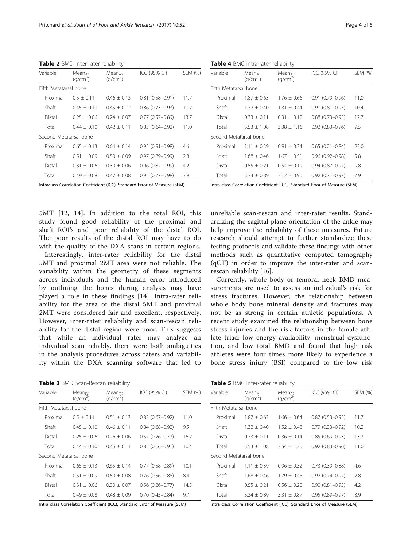<span id="page-3-0"></span>Table 2 BMD Inter-rater reliability

| Variable               | Mean <sub>A1</sub><br>(q/cm <sup>2</sup> ) | Mean <sub>A2</sub><br>(q/cm <sup>2</sup> ) | ICC (95% CI)        | SEM (%) |
|------------------------|--------------------------------------------|--------------------------------------------|---------------------|---------|
| Fifth Metatarsal bone  |                                            |                                            |                     |         |
| Proximal               | $0.5 + 0.11$                               | $0.46 + 0.13$                              | $0.81(0.58 - 0.91)$ | 11.7    |
| Shaft                  | $045 + 010$                                | $045 + 012$                                | $0.86(0.73 - 0.93)$ | 10.2    |
| Distal                 | $0.25 + 0.06$                              | $0.24 + 0.07$                              | $0.77(0.57 - 0.89)$ | 13.7    |
| Total                  | $0.44 + 0.10$                              | $0.42 + 0.11$                              | $0.83(0.64 - 0.92)$ | 11.0    |
| Second Metatarsal bone |                                            |                                            |                     |         |
| Proximal               | $0.65 + 0.13$                              | $0.64 + 0.14$                              | $0.95(0.91 - 0.98)$ | 4.6     |
| Shaft                  | $0.51 + 0.09$                              | $0.50 + 0.09$                              | $0.97(0.89 - 0.99)$ | 2.8     |
| Distal                 | $0.31 + 0.06$                              | $0.30 + 0.06$                              | $0.96(0.82 - 0.99)$ | 4.2     |
| Total                  | $0.49 + 0.08$                              | $0.47 + 0.08$                              | $0.95(0.77 - 0.98)$ | 3.9     |

Intraclass Correlation Coefficient (ICC), Standard Error of Measure (SEM)

5MT [[12](#page-5-0), [14](#page-5-0)]. In addition to the total ROI, this study found good reliability of the proximal and shaft ROI's and poor reliability of the distal ROI. The poor results of the distal ROI may have to do with the quality of the DXA scans in certain regions.

Interestingly, inter-rater reliability for the distal 5MT and proximal 2MT area were not reliable. The variability within the geometry of these segments across individuals and the human error introduced by outlining the bones during analysis may have played a role in these findings [\[14\]](#page-5-0). Intra-rater reliability for the area of the distal 5MT and proximal 2MT were considered fair and excellent, respectively. However, inter-rater reliability and scan-rescan reliability for the distal region were poor. This suggests that while an individual rater may analyze an individual scan reliably, there were both ambiguities in the analysis procedures across raters and variability within the DXA scanning software that led to

|  | Table 3 BMD Scan-Rescan reliability |
|--|-------------------------------------|

| Variable               | $Mean_{D1}$<br>(q/cm <sup>2</sup> ) | $Mean_{D2}$<br>(q/cm <sup>2</sup> ) | ICC (95% CI)           | SEM (%) |
|------------------------|-------------------------------------|-------------------------------------|------------------------|---------|
| Fifth Metatarsal bone  |                                     |                                     |                        |         |
| Proximal               | $0.5 + 0.11$                        | $0.51 + 0.13$                       | $0.83(0.67 - 0.92)$    | 11.0    |
| Shaft                  | $0.45 + 0.10$                       | $0.46 + 0.11$                       | $0.84(0.68 - 0.92)$    | 9.5     |
| Distal                 | $0.25 + 0.06$                       | $0.26 + 0.06$                       | $0.57(0.26 - 0.77)$    | 16.2    |
| Total                  | $0.44 + 0.10$                       | $0.45 + 0.11$                       | $0.82$ $(0.66 - 0.91)$ | 10.4    |
| Second Metatarsal bone |                                     |                                     |                        |         |
| Proximal               | $0.65 + 0.13$                       | $0.65 + 0.14$                       | $0.77(0.58 - 0.89)$    | 10.1    |
| Shaft                  | $0.51 + 0.09$                       | $0.50 + 0.08$                       | $0.76$ $(0.56 - 0.88)$ | 8.4     |
| Distal                 | $0.31 + 0.06$                       | $0.30 + 0.07$                       | $0.56(0.26 - 0.77)$    | 14.5    |
| Total                  | $0.49 + 0.08$                       | $0.48 + 0.09$                       | $0.70(0.45 - 0.84)$    | 9.7     |

Intra class Correlation Coefficient (ICC), Standard Error of Measure (SEM)

Table 4 BMC Intra-rater reliability

| Variable               | Mean <sub>A1</sub><br>(q/cm <sup>2</sup> ) | Mean <sub>A2</sub><br>(q/cm <sup>2</sup> ) | ICC (95% CI)           | SEM (%) |
|------------------------|--------------------------------------------|--------------------------------------------|------------------------|---------|
| Fifth Metatarsal bone  |                                            |                                            |                        |         |
| Proximal               | $1.87 + 0.63$                              | $1.76 + 0.66$                              | $0.91(0.79 - 0.96)$    | 11.0    |
| Shaft                  | $1.32 + 0.40$                              | $1.31 \pm 0.44$                            | $0.90(0.81 - 0.95)$    | 10.4    |
| Distal                 | $0.33 \pm 0.11$                            | $0.31 + 0.12$                              | $0.88$ $(0.73 - 0.95)$ | 12.7    |
| Total                  | $3.53 + 1.08$                              | $3.38 + 1.16$                              | $0.92(0.83 - 0.96)$    | 9.5     |
| Second Metatarsal bone |                                            |                                            |                        |         |
| Proximal               | $1.11 + 0.39$                              | $0.91 + 0.34$                              | $0.65(0.21 - 0.84)$    | 23.0    |
| Shaft                  | $1.68 + 0.46$                              | $1.67 \pm 0.51$                            | $0.96(0.92 - 0.98)$    | 5.8     |
| Distal                 | $0.55 + 0.21$                              | $0.54 + 0.19$                              | $0.94(0.87 - 0.97)$    | 9.8     |
| Total                  | $3.34 + 0.89$                              | $3.12 + 0.90$                              | $0.92(0.71 - 0.97)$    | 7.9     |

Intra class Correlation Coefficient (ICC), Standard Error of Measure (SEM)

unreliable scan-rescan and inter-rater results. Standardizing the sagittal plane orientation of the ankle may help improve the reliability of these measures. Future research should attempt to further standardize these testing protocols and validate these findings with other methods such as quantitative computed tomography (qCT) in order to improve the inter-rater and scanrescan reliability [\[16](#page-5-0)].

Currently, whole body or femoral neck BMD measurements are used to assess an individual's risk for stress fractures. However, the relationship between whole body bone mineral density and fractures may not be as strong in certain athletic populations. A recent study examined the relationship between bone stress injuries and the risk factors in the female athlete triad: low energy availability, menstrual dysfunction, and low total BMD and found that high risk athletes were four times more likely to experience a bone stress injury (BSI) compared to the low risk

| Table 5 BMC Inter-rater reliability |  |
|-------------------------------------|--|
|                                     |  |

|                        |                                            | ╭                                          |                     |         |
|------------------------|--------------------------------------------|--------------------------------------------|---------------------|---------|
| Variable               | Mean <sub>A1</sub><br>(q/cm <sup>2</sup> ) | Mean <sub>A2</sub><br>(q/cm <sup>2</sup> ) | ICC (95% CI)        | SEM (%) |
| Fifth Metatarsal bone  |                                            |                                            |                     |         |
| Proximal               | $1.87 + 0.63$                              | $1.66 + 0.64$                              | $0.87(0.53 - 0.95)$ | 11.7    |
| Shaft                  | $1.32 + 0.40$                              | $1.52 + 0.48$                              | $0.79(0.33 - 0.92)$ | 10.2    |
| Distal                 | $0.33 + 0.11$                              | $0.36 + 0.14$                              | $0.85(0.69 - 0.93)$ | 13.7    |
| Total                  | $3.53 + 1.08$                              | $3.54 + 1.20$                              | $0.92(0.83 - 0.96)$ | 11.0    |
| Second Metatarsal bone |                                            |                                            |                     |         |
| Proximal               | $1.11 + 0.39$                              | $0.96 + 0.32$                              | $0.73(0.39 - 0.88)$ | 4.6     |
| Shaft                  | $1.68 + 0.46$                              | $1.79 + 0.46$                              | $0.92(0.74 - 0.97)$ | 2.8     |
| Distal                 | $0.55 + 0.21$                              | $0.56 + 0.20$                              | $0.90(0.81 - 0.95)$ | 4.2     |
| Total                  | $3.34 + 0.89$                              | $3.31 + 0.87$                              | $0.95(0.89 - 0.97)$ | 3.9     |

Intra class Correlation Coefficient (ICC), Standard Error of Measure (SEM)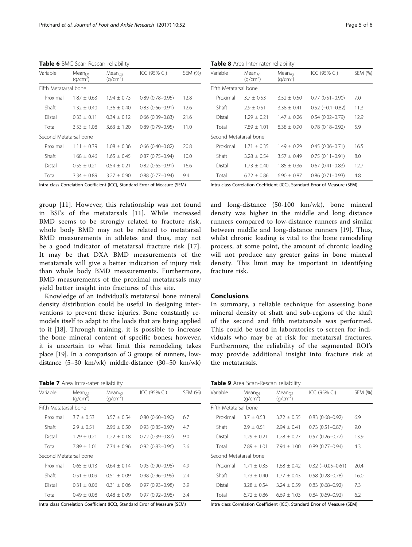<span id="page-4-0"></span>Table 6 BMC Scan-Rescan reliability

| Variable               | $Mean_{D1}$<br>(q/cm <sup>2</sup> ) | $Mean_{D2}$<br>(q/cm <sup>2</sup> ) | ICC (95% CI)           | SEM (%) |
|------------------------|-------------------------------------|-------------------------------------|------------------------|---------|
| Fifth Metatarsal bone  |                                     |                                     |                        |         |
| Proximal               | $187 + 063$                         | $1.94 + 0.73$                       | $0.89(0.78 - 0.95)$    | 12.8    |
| Shaft                  | $132 + 040$                         | $136 + 040$                         | $0.83(0.66 - 0.91)$    | 12.6    |
| Distal                 | $0.33 + 0.11$                       | $0.34 + 0.12$                       | $0.66$ $(0.39 - 0.83)$ | 21.6    |
| Total                  | $3.53 + 1.08$                       | $3.63 + 1.20$                       | $0.89(0.79 - 0.95)$    | 11.0    |
| Second Metatarsal bone |                                     |                                     |                        |         |
| Proximal               | $1.11 + 0.39$                       | $1.08 + 0.36$                       | $0.66$ $(0.40 - 0.82)$ | 20.8    |
| Shaft                  | $1.68 + 0.46$                       | $1.65 + 0.45$                       | $0.87(0.75 - 0.94)$    | 10.0    |
| Distal                 | $0.55 + 0.21$                       | $0.54 + 0.21$                       | $0.82(0.65 - 0.91)$    | 16.6    |
| Total                  | $3.34 + 0.89$                       | $3.27 + 0.90$                       | $0.88$ $(0.77 - 0.94)$ | 9.4     |

Intra class Correlation Coefficient (ICC), Standard Error of Measure (SEM)

group [\[11](#page-5-0)]. However, this relationship was not found in BSI's of the metatarsals [[11\]](#page-5-0). While increased BMD seems to be strongly related to fracture risk, whole body BMD may not be related to metatarsal BMD measurements in athletes and thus, may not be a good indicator of metatarsal fracture risk [[17](#page-5-0)]. It may be that DXA BMD measurements of the metatarsals will give a better indication of injury risk than whole body BMD measurements. Furthermore, BMD measurements of the proximal metatarsals may yield better insight into fractures of this site.

Knowledge of an individual's metatarsal bone mineral density distribution could be useful in designing interventions to prevent these injuries. Bone constantly remodels itself to adapt to the loads that are being applied to it [[18\]](#page-5-0). Through training, it is possible to increase the bone mineral content of specific bones; however, it is uncertain to what limit this remodeling takes place [\[19](#page-5-0)]. In a comparison of 3 groups of runners, lowdistance (5–30 km/wk) middle-distance (30–50 km/wk)

#### Table 7 Area Intra-rater reliability

| Variable               | Mean <sub>41</sub><br>(q/cm <sup>2</sup> ) | Mean <sub>A2</sub><br>(q/cm <sup>2</sup> ) | ICC (95% CI)           | SEM (%) |
|------------------------|--------------------------------------------|--------------------------------------------|------------------------|---------|
| Fifth Metatarsal bone  |                                            |                                            |                        |         |
| Proximal               | $3.7 + 0.53$                               | $3.57 + 0.54$                              | $0.80(0.60 - 0.90)$    | 6.7     |
| Shaft                  | $2.9 + 0.51$                               | $2.96 + 0.50$                              | $0.93$ $(0.85 - 0.97)$ | 4.7     |
| Distal                 | $1.29 + 0.21$                              | $1.22 + 0.18$                              | $0.72(0.39 - 0.87)$    | 9.0     |
| Total                  | $7.89 + 1.01$                              | $7.74 + 0.96$                              | $0.92$ $(0.83 - 0.96)$ | 3.6     |
| Second Metatarsal bone |                                            |                                            |                        |         |
| Proximal               | $0.65 + 0.13$                              | $0.64 + 0.14$                              | $0.95(0.90 - 0.98)$    | 4.9     |
| Shaft                  | $0.51 + 0.09$                              | $0.51 + 0.09$                              | $0.98(0.96 - 0.99)$    | 7.4     |
| Distal                 | $0.31 + 0.06$                              | $0.31 + 0.06$                              | $0.97(0.93 - 0.98)$    | 3.9     |
| Total                  | $0.49 + 0.08$                              | $0.48 + 0.09$                              | $0.97(0.92 - 0.98)$    | 3.4     |

Intra class Correlation Coefficient (ICC), Standard Error of Measure (SEM)

Table 8 Area Inter-rater reliability

| Mean <sub>A1</sub><br>(q/cm <sup>2</sup> ) | Mean <sub>A2</sub><br>(q/cm <sup>2</sup> ) | ICC (95% CI)             | SEM (%) |
|--------------------------------------------|--------------------------------------------|--------------------------|---------|
| Fifth Metatarsal bone                      |                                            |                          |         |
| $3.7 + 0.53$                               | $3.52 + 0.50$                              | $0.77(0.51 - 0.90)$      | 7.0     |
| $2.9 + 0.51$                               | $3.38 + 0.41$                              | $0.52$ ( $-0.1 - 0.82$ ) | 11.3    |
| $1.29 + 0.21$                              | $1.47 + 0.26$                              | $0.54(0.02 - 0.79)$      | 12.9    |
| $7.89 + 1.01$                              | $8.38 \pm 0.90$                            | $0.78(0.18 - 0.92)$      | 5.9     |
| Second Metatarsal bone                     |                                            |                          |         |
| $1.71 + 0.35$                              | $1.49 \pm 0.29$                            | $0.45(0.06 - 0.71)$      | 16.5    |
| $3.28 \pm 0.54$                            | $3.57 + 0.49$                              | $0.75(0.11 - 0.91)$      | 8.0     |
| $1.73 + 0.40$                              | $1.85 + 0.36$                              | $0.67(0.41 - 0.83)$      | 12.7    |
| $6.72 + 0.86$                              | $6.90 + 0.87$                              | $0.86(0.71 - 0.93)$      | 4.8     |
|                                            |                                            |                          |         |

Intra class Correlation Coefficient (ICC), Standard Error of Measure (SEM)

and long-distance (50-100 km/wk), bone mineral density was higher in the middle and long distance runners compared to low-distance runners and similar between middle and long-distance runners [\[19](#page-5-0)]. Thus, whilst chronic loading is vital to the bone remodeling process, at some point, the amount of chronic loading will not produce any greater gains in bone mineral density. This limit may be important in identifying fracture risk.

#### Conclusions

In summary, a reliable technique for assessing bone mineral density of shaft and sub-regions of the shaft of the second and fifth metatarsals was performed. This could be used in laboratories to screen for individuals who may be at risk for metatarsal fractures. Furthermore, the reliability of the segmented ROI's may provide additional insight into fracture risk at the metatarsals.

| Table 9 Area Scan-Rescan reliability |  |
|--------------------------------------|--|
|--------------------------------------|--|

| Variable               | $Mean_{D1}$<br>(q/cm <sup>2</sup> ) | Mean <sub>D2</sub><br>(q/cm <sup>2</sup> ) | ICC (95% CI)              | SEM (%) |
|------------------------|-------------------------------------|--------------------------------------------|---------------------------|---------|
| Fifth Metatarsal bone  |                                     |                                            |                           |         |
| Proximal               | $3.7 + 0.53$                        | $3.72 + 0.55$                              | $0.83$ $(0.68 - 0.92)$    | 6.9     |
| Shaft                  | $2.9 + 0.51$                        | $7.94 + 0.41$                              | $0.73$ $(0.51 - 0.87)$    | 9.0     |
| Distal                 | $1.29 + 0.21$                       | $1.28 + 0.27$                              | $0.57(0.26 - 0.77)$       | 13.9    |
| Total                  | $7.89 + 1.01$                       | $7.94 + 1.00$                              | $0.89(0.77 - 0.94)$       | 4.3     |
| Second Metatarsal bone |                                     |                                            |                           |         |
| Proximal               | $1.71 + 0.35$                       | $1.68 + 0.42$                              | $0.32$ ( $-0.05 - 0.61$ ) | 20.4    |
| Shaft                  | $1.73 + 0.40$                       | $1.77 + 0.43$                              | $0.58(0.28 - 0.78)$       | 16.0    |
| Distal                 | $3.28 + 0.54$                       | $3.24 + 0.59$                              | $0.83(0.68 - 0.92)$       | 7.3     |
| Total                  | $6.72 + 0.86$                       | $6.69 \pm 1.03$                            | $0.84(0.69 - 0.92)$       | 6.2     |

Intra class Correlation Coefficient (ICC), Standard Error of Measure (SEM)